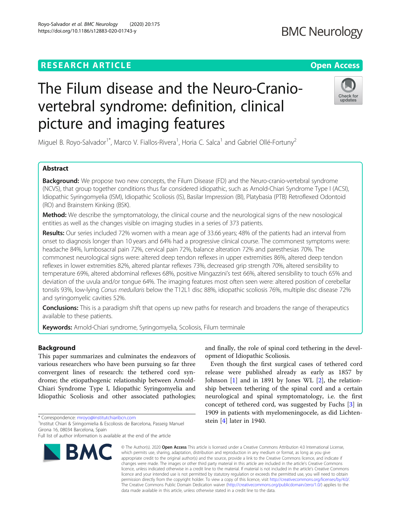# **RESEARCH ARTICLE Example 2014 12:30 The Contract of Contract ACCESS**

# The Filum disease and the Neuro-Craniovertebral syndrome: definition, clinical picture and imaging features

Miguel B. Royo-Salvador<sup>1\*</sup>, Marco V. Fiallos-Rivera<sup>1</sup>, Horia C. Salca<sup>1</sup> and Gabriel Ollé-Fortuny<sup>2</sup>

## Abstract

**Background:** We propose two new concepts, the Filum Disease (FD) and the Neuro-cranio-vertebral syndrome (NCVS), that group together conditions thus far considered idiopathic, such as Arnold-Chiari Syndrome Type I (ACSI), Idiopathic Syringomyelia (ISM), Idiopathic Scoliosis (IS), Basilar Impression (BI), Platybasia (PTB) Retroflexed Odontoid (RO) and Brainstem Kinking (BSK).

Method: We describe the symptomatology, the clinical course and the neurological signs of the new nosological entities as well as the changes visible on imaging studies in a series of 373 patients.

Results: Our series included 72% women with a mean age of 33.66 years; 48% of the patients had an interval from onset to diagnosis longer than 10 years and 64% had a progressive clinical course. The commonest symptoms were: headache 84%, lumbosacral pain 72%, cervical pain 72%, balance alteration 72% and paresthesias 70%. The commonest neurological signs were: altered deep tendon reflexes in upper extremities 86%, altered deep tendon reflexes in lower extremities 82%, altered plantar reflexes 73%, decreased grip strength 70%, altered sensibility to temperature 69%, altered abdominal reflexes 68%, positive Mingazzini's test 66%, altered sensibility to touch 65% and deviation of the uvula and/or tongue 64%. The imaging features most often seen were: altered position of cerebellar tonsils 93%, low-lying Conus medullaris below the T12L1 disc 88%, idiopathic scoliosis 76%, multiple disc disease 72% and syringomyelic cavities 52%.

**Conclusions:** This is a paradigm shift that opens up new paths for research and broadens the range of therapeutics available to these patients.

**Keywords:** Arnold-Chiari syndrome, Syringomyelia, Scoliosis, Filum terminale

## Background

This paper summarizes and culminates the endeavors of various researchers who have been pursuing so far three convergent lines of research: the tethered cord syndrome; the etiopathogenic relationship between Arnold-Chiari Syndrome Type I, Idiopathic Syringomyelia and Idiopathic Scoliosis and other associated pathologies;

\* Correspondence: mroyo@institutchiaribcn.com <sup>1</sup>

**RMC** 

<sup>1</sup> Institut Chiari & Siringomielia & Escoliosis de Barcelona, Passeig Manuel Girona 16, 08034 Barcelona, Spain

# and finally, the role of spinal cord tethering in the development of Idiopathic Scoliosis.

Even though the first surgical cases of tethered cord release were published already as early as 1857 by Johnson  $[1]$  and in 1891 by Jones WL  $[2]$ , the relationship between tethering of the spinal cord and a certain neurological and spinal symptomatology, i.e. the first concept of tethered cord, was suggested by Fuchs [3] in 1909 in patients with myelomeningocele, as did Lichtenstein [4] later in 1940.

© The Author(s), 2020 **Open Access** This article is licensed under a Creative Commons Attribution 4.0 International License, which permits use, sharing, adaptation, distribution and reproduction in any medium or format, as long as you give appropriate credit to the original author(s) and the source, provide a link to the Creative Commons licence, and indicate if changes were made. The images or other third party material in this article are included in the article's Creative Commons licence, unless indicated otherwise in a credit line to the material. If material is not included in the article's Creative Commons licence and your intended use is not permitted by statutory regulation or exceeds the permitted use, you will need to obtain permission directly from the copyright holder. To view a copy of this licence, visit http://creativecommons.org/licenses/by/4.0/. The Creative Commons Public Domain Dedication waiver (http://creativecommons.org/publicdomain/zero/1.0/) applies to the data made available in this article, unless otherwise stated in a credit line to the data.







Full list of author information is available at the end of the article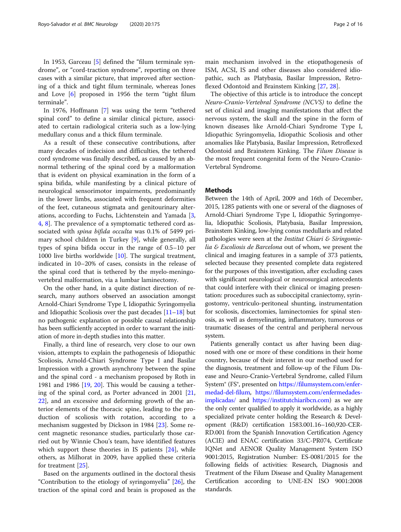In 1976, Hoffmann [7] was using the term "tethered spinal cord" to define a similar clinical picture, associated to certain radiological criteria such as a low-lying medullary conus and a thick filum terminale.

As a result of these consecutive contributions, after many decades of indecision and difficulties, the tethered cord syndrome was finally described, as caused by an abnormal tethering of the spinal cord by a malformation that is evident on physical examination in the form of a spina bifida, while manifesting by a clinical picture of neurological sensorimotor impairments, predominantly in the lower limbs, associated with frequent deformities of the feet, cutaneous stigmata and genitourinary alterations, according to Fuchs, Lichtenstein and Yamada [3, 4, 8]. The prevalence of a symptomatic tethered cord associated with spina bifida occulta was 0.1% of 5499 primary school children in Turkey [9], while generally, all types of spina bifida occur in the range of 0.5–10 per 1000 live births worldwide [10]. The surgical treatment, indicated in 10–20% of cases, consists in the release of the spinal cord that is tethered by the myelo-meningovertebral malformation, via a lumbar laminectomy.

On the other hand, in a quite distinct direction of research, many authors observed an association amongst Arnold-Chiari Syndrome Type I, Idiopathic Syringomyelia and Idiopathic Scoliosis over the past decades [11–18] but no pathogenic explanation or possible causal relationship has been sufficiently accepted in order to warrant the initiation of more in-depth studies into this matter.

Finally, a third line of research, very close to our own vision, attempts to explain the pathogenesis of Idiopathic Scoliosis, Arnold-Chiari Syndrome Type I and Basilar Impression with a growth asynchrony between the spine and the spinal cord - a mechanism proposed by Roth in 1981 and 1986 [19, 20]. This would be causing a tethering of the spinal cord, as Porter advanced in 2001 [21, 22], and an excessive and deforming growth of the anterior elements of the thoracic spine, leading to the production of scoliosis with rotation, according to a mechanism suggested by Dickson in 1984 [23]. Some recent magnetic resonance studies, particularly those carried out by Winnie Chou's team, have identified features which support these theories in IS patients [24], while others, as Milhorat in 2009, have applied these criteria for treatment [25].

Based on the arguments outlined in the doctoral thesis "Contribution to the etiology of syringomyelia" [26], the traction of the spinal cord and brain is proposed as the main mechanism involved in the etiopathogenesis of ISM, ACSI, IS and other diseases also considered idiopathic, such as Platybasia, Basilar Impression, Retroflexed Odontoid and Brainstem Kinking [27, 28].

The objective of this article is to introduce the concept Neuro-Cranio-Vertebral Syndrome (NCVS) to define the set of clinical and imaging manifestations that affect the nervous system, the skull and the spine in the form of known diseases like Arnold-Chiari Syndrome Type I, Idiopathic Syringomyelia, Idiopathic Scoliosis and other anomalies like Platybasia, Basilar Impression, Retroflexed Odontoid and Brainstem Kinking. The Filum Disease is the most frequent congenital form of the Neuro-Cranio-Vertebral Syndrome.

## Methods

Between the 14th of April, 2009 and 16th of December, 2015, 1285 patients with one or several of the diagnoses of Arnold-Chiari Syndrome Type I, Idiopathic Syringomyelia, Idiopathic Scoliosis, Platybasia, Basilar Impression, Brainstem Kinking, low-lying conus medullaris and related pathologies were seen at the Institut Chiari & Siringomielia & Escoliosis de Barcelona out of whom, we present the clinical and imaging features in a sample of 373 patients, selected because they presented complete data registered for the purposes of this investigation, after excluding cases with significant neurological or neurosurgical antecedents that could interfere with their clinical or imaging presentation: procedures such as suboccipital craniectomy, syringostomy, ventriculo-peritoneal shunting, instrumentation for scoliosis, discectomies, laminectomies for spinal stenosis, as well as demyelinating, inflammatory, tumorous or traumatic diseases of the central and peripheral nervous system.

Patients generally contact us after having been diagnosed with one or more of these conditions in their home country, because of their interest in our method used for the diagnosis, treatment and follow-up of the Filum Disease and Neuro-Cranio-Vertebral Syndrome, called Filum System® (FS®, presented on https://filumsystem.com/enfermedad-del-filum, https://filumsystem.com/enfermedadesimplicadas/ and https://institutchiaribcn.com) as we are the only center qualified to apply it worldwide, as a highly specialized private center holding the Research & Development (R&D) certification 1583.001.16–160,920-CER-RD.001 from the Spanish Innovation Certification Agency (ACIE) and ENAC certification 33/C-PR074, Certificate IQNet and AENOR Quality Management System ISO 9001:2015, Registration Number: ES-0081/2015 for the following fields of activities: Research, Diagnosis and Treatment of the Filum Disease and Quality Management Certification according to UNE-EN ISO 9001:2008 standards.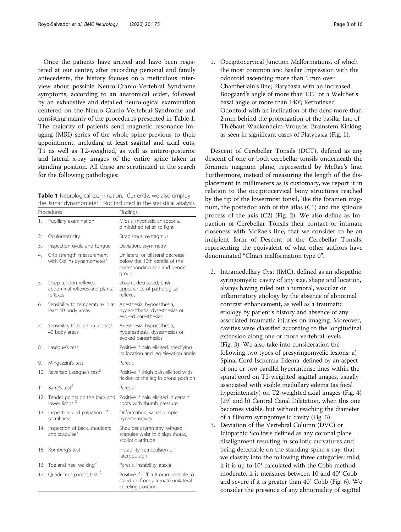Once the patients have arrived and have been registered at our center, after recording personal and family antecedents, the history focuses on a meticulous interview about possible Neuro-Cranio-Vertebral Syndrome symptoms, according to an anatomical order, followed by an exhaustive and detailed neurological examination centered on the Neuro-Cranio-Vertebral Syndrome and consisting mainly of the procedures presented in Table 1. The majority of patients send magnetic resonance imaging (MRI) series of the whole spine previous to their appointment, including at least sagittal and axial cuts, T1 as well as T2-weighted, as well as antero-posterior and lateral x-ray images of the entire spine taken in standing position. All these are scrutinized in the search for the following pathologies:

Table 1 Neurological examination. <sup>1</sup>Currently, we also employ the Jamar dynamometer.<sup>2</sup> Not included in the statistical analysis

| Procedures |                                                                     | Findings                                                                                                   |  |
|------------|---------------------------------------------------------------------|------------------------------------------------------------------------------------------------------------|--|
| 1.         | Pupillary examination                                               | Miosis, mydriasis, anisocoria,<br>diminished reflex to light                                               |  |
| 2.         | Oculomotricity                                                      | Strabismus, nystagmus                                                                                      |  |
| 3.         | Inspection uvula and tonque                                         | Deviation, asymmetry                                                                                       |  |
| 4.         | Grip strength measurement<br>with Collins dynamometer <sup>1</sup>  | Unilateral or bilateral decrease<br>below the 10th centile of the<br>corresponding age and gender<br>group |  |
| 5.         | Deep tendon reflexes,<br>abdominal reflexes and plantar<br>reflexes | absent, decreased, brisk,<br>appearance of pathological<br>reflexes                                        |  |
| 6.         | Sensibility to temperature in at<br>least 40 body areas             | Anesthesia, hypoesthesia,<br>hyperesthesia, dysesthesias or<br>evoked paresthesias                         |  |
| 7.         | Sensibility to touch in at least<br>40 body areas                   | Anesthesia, hypoesthesia,<br>hyperesthesia, dysesthesias or<br>evoked paresthesias                         |  |
| 8.         | Lasègue's test                                                      | Positive if pain elicited, specifying<br>its location and leg elevation angle                              |  |
| 9.         | Mingazzini's test                                                   | Paresis                                                                                                    |  |
| 10.        | Reversed Lasèque's test <sup>2</sup>                                | Positive if thigh pain elicited with<br>flexion of the leg in prone position                               |  |
|            | 11. Barré's test <sup>2</sup>                                       | Paresis                                                                                                    |  |
|            | 12. Tender points on the back and<br>lower limbs <sup>2</sup>       | Positive if pain elicited in certain<br>spots with thumb pressure                                          |  |
| 13.        | Inspection and palpation of<br>sacral area                          | Deformation, sacral dimple,<br>hypersensitivity                                                            |  |
| 14.        | Inspection of back, shoulders<br>and scapulae <sup>2</sup>          | Shoulder asymmetry, winged<br>scapulae waist fold sign thorax,<br>scoliotic attitude                       |  |
| 15.        | Romberg's test                                                      | Instability, retropulsion or<br>lateropulsion                                                              |  |
|            | 16. Toe and heel walking <sup>2</sup>                               | Paresis, instability, ataxia                                                                               |  |
|            | 17. Quadriceps paresis test <sup>2</sup>                            | Positive if difficult or impossible to<br>stand up from alternate unilateral<br>kneeling position          |  |

1. Occipitocervical Junction Malformations, of which the most common are: Basilar Impression with the odontoid ascending more than 5 mm over Chamberlain's line; Platybasia with an increased Boogaard's angle of more than 135° or a Welcher's basal angle of more than 140°; Retroflexed Odontoid with an inclination of the dens more than 2 mm behind the prolongation of the basilar line of Thiébaut-Wackenheim-Vrousos; Brainstem Kinking as seen in significant cases of Platybasia (Fig. 1).

Descent of Cerebellar Tonsils (DCT), defined as any descent of one or both cerebellar tonsils underneath the foramen magnum plane, represented by McRae's line. Furthermore, instead of measuring the length of the displacement in millimeters as is customary, we report it in relation to the occipitocervical bony structures reached by the tip of the lowermost tonsil, like the foramen magnum, the posterior arch of the atlas (C1) and the spinous process of the axis (C2) (Fig. 2). We also define as Impaction of Cerebellar Tonsils their contact or intimate closeness with McRae's line, that we consider to be an incipient form of Descent of the Cerebellar Tonsils, representing the equivalent of what other authors have denominated "Chiari malformation type 0".

- 2. Intramedullary Cyst (IMC), defined as an idiopathic syringomyelic cavity of any size, shape and location, always having ruled out a tumoral, vascular or inflammatory etiology by the absence of abnormal contrast enhancement, as well as a traumatic etiology by patient's history and absence of any associated traumatic injuries on imaging. Moreover, cavities were classified according to the longitudinal extension along one or more vertebral levels (Fig. 3). We also take into consideration the following two types of presyringomyelic lesions: a) Spinal Cord Ischemia-Edema, defined by an aspect of one or two parallel hyperintense lines within the spinal cord on T2-weighted sagittal images, usually associated with visible medullary edema (as focal hyperintensity) on T2-weighted axial images (Fig. 4) [29] and b) Central Canal Dilatation, when this one becomes visible, but without reaching the diameter of a filiform syringomyelic cavity (Fig. 5).
- 3. Deviation of the Vertebral Column (DVC) or Idiopathic Scoliosis defined as any coronal plane disalignment resulting in scoliotic curvatures and being detectable on the standing spine x-ray, that we classify into the following three categories: mild, if it is up to 10° calculated with the Cobb method; moderate, if it measures between 10 and 40° Cobb and severe if it is greater than 40° Cobb (Fig. 6). We consider the presence of any abnormality of sagittal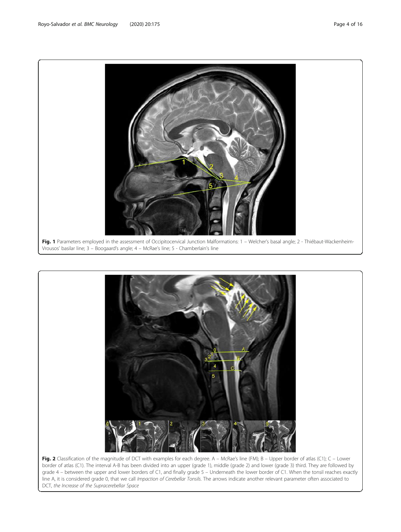



Fig. 2 Classification of the magnitude of DCT with examples for each degree. A - McRae's line (FM); B - Upper border of atlas (C1); C - Lower border of atlas (C1). The interval A-B has been divided into an upper (grade 1), middle (grade 2) and lower (grade 3) third. They are followed by grade 4 – between the upper and lower borders of C1, and finally grade 5 – Underneath the lower border of C1. When the tonsil reaches exactly line A, it is considered grade 0, that we call Impaction of Cerebellar Tonsils. The arrows indicate another relevant parameter often associated to DCT, the Increase of the Supracerebellar Space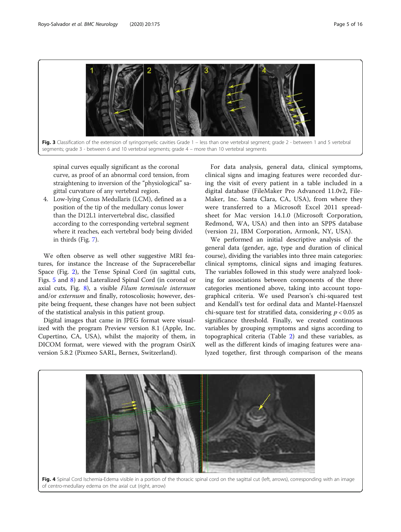

spinal curves equally significant as the coronal curve, as proof of an abnormal cord tension, from straightening to inversion of the "physiological" sagittal curvature of any vertebral region.

4. Low-lying Conus Medullaris (LCM), defined as a position of the tip of the medullary conus lower than the D12L1 intervertebral disc, classified according to the corresponding vertebral segment where it reaches, each vertebral body being divided in thirds (Fig. 7).

We often observe as well other suggestive MRI features, for instance the Increase of the Supracerebellar Space (Fig. 2), the Tense Spinal Cord (in sagittal cuts, Figs. 5 and 8) and Lateralized Spinal Cord (in coronal or axial cuts, Fig. 8), a visible Filum terminale internum and/or externum and finally, rotoscoliosis; however, despite being frequent, these changes have not been subject of the statistical analysis in this patient group.

Digital images that came in JPEG format were visualized with the program Preview version 8.1 (Apple, Inc. Cupertino, CA, USA), whilst the majority of them, in DICOM format, were viewed with the program OsiriX version 5.8.2 (Pixmeo SARL, Bernex, Switzerland).

For data analysis, general data, clinical symptoms, clinical signs and imaging features were recorded during the visit of every patient in a table included in a digital database (FileMaker Pro Advanced 11.0v2, File-Maker, Inc. Santa Clara, CA, USA), from where they were transferred to a Microsoft Excel 2011 spreadsheet for Mac version 14.1.0 (Microsoft Corporation, Redmond, WA, USA) and then into an SPPS database (version 21, IBM Corporation, Armonk, NY, USA).

We performed an initial descriptive analysis of the general data (gender, age, type and duration of clinical course), dividing the variables into three main categories: clinical symptoms, clinical signs and imaging features. The variables followed in this study were analyzed looking for associations between components of the three categories mentioned above, taking into account topographical criteria. We used Pearson's chi-squared test and Kendall's test for ordinal data and Mantel-Haenszel chi-square test for stratified data, considering  $p < 0.05$  as significance threshold. Finally, we created continuous variables by grouping symptoms and signs according to topographical criteria (Table 2) and these variables, as well as the different kinds of imaging features were analyzed together, first through comparison of the means

Fig. 4 Spinal Cord Ischemia-Edema visible in a portion of the thoracic spinal cord on the sagittal cut (left, arrows), corresponding with an image of centro-medullary edema on the axial cut (right, arrow)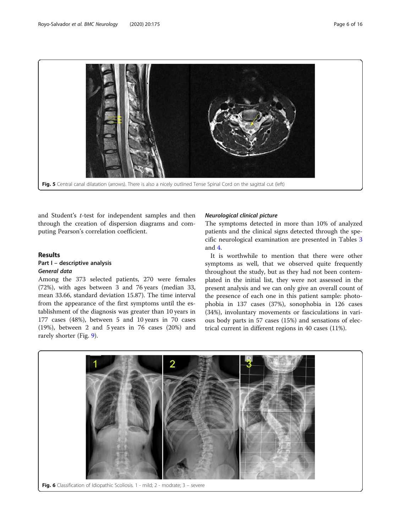

and Student's t-test for independent samples and then through the creation of dispersion diagrams and computing Pearson's correlation coefficient.

## Results

## Part I – descriptive analysis General data

Among the 373 selected patients, 270 were females (72%), with ages between 3 and 76 years (median 33, mean 33.66, standard deviation 15.87). The time interval from the appearance of the first symptoms until the establishment of the diagnosis was greater than 10 years in 177 cases (48%), between 5 and 10 years in 70 cases (19%), between 2 and 5 years in 76 cases (20%) and rarely shorter (Fig. 9).

## Neurological clinical picture

The symptoms detected in more than 10% of analyzed patients and the clinical signs detected through the specific neurological examination are presented in Tables 3 and 4.

It is worthwhile to mention that there were other symptoms as well, that we observed quite frequently throughout the study, but as they had not been contemplated in the initial list, they were not assessed in the present analysis and we can only give an overall count of the presence of each one in this patient sample: photophobia in 137 cases (37%), sonophobia in 126 cases (34%), involuntary movements or fasciculations in various body parts in 57 cases (15%) and sensations of electrical current in different regions in 40 cases (11%).

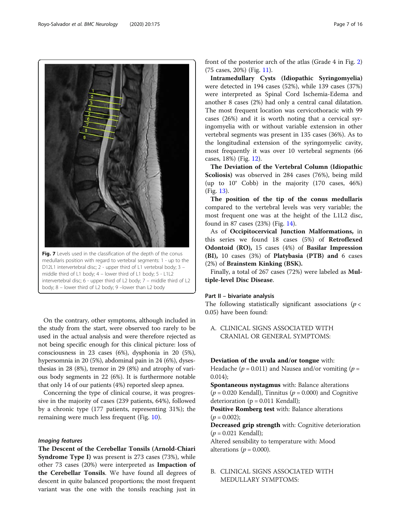On the contrary, other symptoms, although included in the study from the start, were observed too rarely to be used in the actual analysis and were therefore rejected as not being specific enough for this clinical picture: loss of consciousness in 23 cases (6%), dysphonia in 20 (5%), hypersomnia in 20 (5%), abdominal pain in 24 (6%), dysesthesias in 28 (8%), tremor in 29 (8%) and atrophy of various body segments in 22 (6%). It is furthermore notable that only 14 of our patients (4%) reported sleep apnea.

Concerning the type of clinical course, it was progressive in the majority of cases (239 patients, 64%), followed by a chronic type (177 patients, representing 31%); the remaining were much less frequent (Fig. 10).

## Imaging features

The Descent of the Cerebellar Tonsils (Arnold-Chiari Syndrome Type I) was present is 273 cases (73%), while other 73 cases (20%) were interpreted as Impaction of the Cerebellar Tonsils. We have found all degrees of descent in quite balanced proportions; the most frequent variant was the one with the tonsils reaching just in

front of the posterior arch of the atlas (Grade 4 in Fig. 2) (75 cases, 20%) (Fig. 11).

Intramedullary Cysts (Idiopathic Syringomyelia) were detected in 194 cases (52%), while 139 cases (37%) were interpreted as Spinal Cord Ischemia-Edema and another 8 cases (2%) had only a central canal dilatation. The most frequent location was cervicothoracic with 99 cases (26%) and it is worth noting that a cervical syringomyelia with or without variable extension in other vertebral segments was present in 135 cases (36%). As to the longitudinal extension of the syringomyelic cavity, most frequently it was over 10 vertebral segments (66 cases, 18%) (Fig. 12).

The Deviation of the Vertebral Column (Idiopathic Scoliosis) was observed in 284 cases (76%), being mild (up to 10° Cobb) in the majority (170 cases, 46%) (Fig. 13).

The position of the tip of the conus medullaris compared to the vertebral levels was very variable; the most frequent one was at the height of the L1L2 disc, found in 87 cases (23%) (Fig. 14).

As of Occipitocervical Junction Malformations, in this series we found 18 cases (5%) of Retroflexed Odontoid (RO), 15 cases (4%) of Basilar Impression (BI), 10 cases (3%) of Platybasia (PTB) and 6 cases (2%) of Brainstem Kinking (BSK).

Finally, a total of 267 cases (72%) were labeled as Multiple-level Disc Disease.

#### Part II – bivariate analysis

The following statistically significant associations ( $p <$ 0.05) have been found:

A. CLINICAL SIGNS ASSOCIATED WITH CRANIAL OR GENERAL SYMPTOMS:

## Deviation of the uvula and/or tongue with:

Headache ( $p = 0.011$ ) and Nausea and/or vomiting ( $p =$ 0.014);

Spontaneous nystagmus with: Balance alterations  $(p = 0.020$  Kendall), Tinnitus  $(p = 0.000)$  and Cognitive deterioration ( $p = 0.011$  Kendall);

Positive Romberg test with: Balance alterations  $(p = 0.002);$ 

Decreased grip strength with: Cognitive deterioration  $(p = 0.021$  Kendall);

Altered sensibility to temperature with: Mood alterations ( $p = 0.000$ ).

B. CLINICAL SIGNS ASSOCIATED WITH MEDULLARY SYMPTOMS:

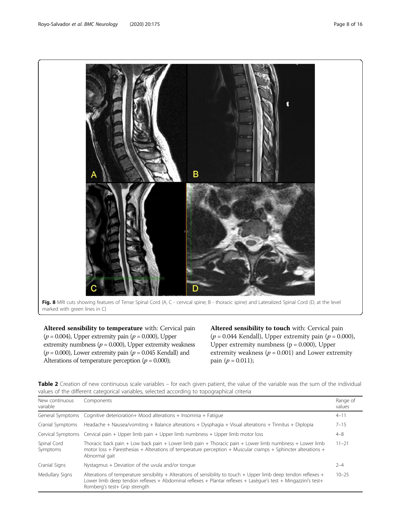

Altered sensibility to temperature with: Cervical pain  $(p = 0.004)$ , Upper extremity pain  $(p = 0.000)$ , Upper extremity numbness ( $p = 0.000$ ), Upper extremity weakness  $(p = 0.000)$ , Lower extremity pain  $(p = 0.045$  Kendall) and Alterations of temperature perception ( $p = 0.000$ );

Altered sensibility to touch with: Cervical pain ( $p = 0.044$  Kendall), Upper extremity pain ( $p = 0.000$ ), Upper extremity numbness ( $p = 0.000$ ), Upper extremity weakness ( $p = 0.001$ ) and Lower extremity pain ( $p = 0.011$ );

| Table 2 Creation of new continuous scale variables – for each given patient, the value of the variable was the sum of the individual |  |
|--------------------------------------------------------------------------------------------------------------------------------------|--|
| values of the different categorical variables, selected according to topographical criteria                                          |  |

| New continuous<br>variable | Components                                                                                                                                                                                                                                                         | Range of<br>values |
|----------------------------|--------------------------------------------------------------------------------------------------------------------------------------------------------------------------------------------------------------------------------------------------------------------|--------------------|
| General Symptoms           | Cognitive deterioration+ Mood alterations + Insomnia + Fatigue                                                                                                                                                                                                     | $4 - 11$           |
| Cranial Symptoms           | Headache + Nausea/vomiting + Balance alterations + Dysphagia + Visual alterations + Tinnitus + Diplopia                                                                                                                                                            | $7 - 15$           |
| Cervical Symptoms          | Cervical pain + Upper limb pain + Upper limb numbness + Upper limb motor loss                                                                                                                                                                                      | $4 - 8$            |
| Spinal Cord<br>Symptoms    | Thoracic back pain + Low back pain + Lower limb pain + Thoracic pain + Lower limb numbness + Lower limb<br>motor loss + Paresthesias + Alterations of temperature perception + Muscular cramps + Sphincter alterations +<br>Abnormal gait                          | $11 - 21$          |
| Cranial Signs              | Nystagmus + Deviation of the uvula and/or tongue                                                                                                                                                                                                                   | $2 - 4$            |
| Medullary Signs            | Alterations of temperature sensibility + Alterations of sensibility to touch + Upper limb deep tendon reflexes +<br>Lower limb deep tendon reflexes + Abdominal reflexes + Plantar reflexes + Lasèque's test + Mingazzini's test+<br>Romberg's test+ Grip strength | $10 - 25$          |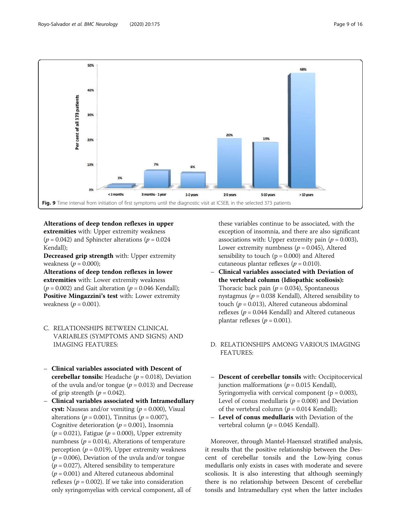

## Alterations of deep tendon reflexes in upper extremities with: Upper extremity weakness

 $(p = 0.042)$  and Sphincter alterations  $(p = 0.024)$ Kendall);

Decreased grip strength with: Upper extremity weakness ( $p = 0.000$ );

Alterations of deep tendon reflexes in lower extremities with: Lower extremity weakness  $(p = 0.002)$  and Gait alteration  $(p = 0.046$  Kendall); Positive Mingazzini's test with: Lower extremity weakness ( $p = 0.001$ ).

- C. RELATIONSHIPS BETWEEN CLINICAL VARIABLES (SYMPTOMS AND SIGNS) AND IMAGING FEATURES:
- Clinical variables associated with Descent of **cerebellar tonsils:** Headache ( $p = 0.018$ ), Deviation of the uvula and/or tongue ( $p = 0.013$ ) and Decrease of grip strength ( $p = 0.042$ ).
- Clinical variables associated with Intramedullary **cyst:** Nauseas and/or vomiting ( $p = 0.000$ ), Visual alterations ( $p = 0.001$ ), Tinnitus ( $p = 0.007$ ), Cognitive deterioration ( $p = 0.001$ ), Insomnia  $(p = 0.021)$ , Fatigue  $(p = 0.000)$ , Upper extremity numbness ( $p = 0.014$ ), Alterations of temperature perception ( $p = 0.019$ ), Upper extremity weakness ( $p = 0.006$ ), Deviation of the uvula and/or tongue  $(p = 0.027)$ , Altered sensibility to temperature  $(p = 0.001)$  and Altered cutaneous abdominal reflexes ( $p = 0.002$ ). If we take into consideration only syringomyelias with cervical component, all of

these variables continue to be associated, with the exception of insomnia, and there are also significant associations with: Upper extremity pain ( $p = 0.003$ ), Lower extremity numbness ( $p = 0.045$ ), Altered sensibility to touch  $(p = 0.000)$  and Altered cutaneous plantar reflexes ( $p = 0.010$ ).

- Clinical variables associated with Deviation of the vertebral column (Idiopathic scoliosis): Thoracic back pain ( $p = 0.034$ ), Spontaneous nystagmus ( $p = 0.038$  Kendall), Altered sensibility to touch ( $p = 0.013$ ), Altered cutaneous abdominal reflexes ( $p = 0.044$  Kendall) and Altered cutaneous plantar reflexes ( $p = 0.001$ ).
- D. RELATIONSHIPS AMONG VARIOUS IMAGING FEATURES:
- Descent of cerebellar tonsils with: Occipitocervical junction malformations ( $p = 0.015$  Kendall), Syringomyelia with cervical component ( $p = 0.003$ ), Level of conus medullaris ( $p = 0.008$ ) and Deviation of the vertebral column ( $p = 0.014$  Kendall);
- Level of conus medullaris with Deviation of the vertebral column ( $p = 0.045$  Kendall).

Moreover, through Mantel-Haenszel stratified analysis, it results that the positive relationship between the Descent of cerebellar tonsils and the Low-lying conus medullaris only exists in cases with moderate and severe scoliosis. It is also interesting that although seemingly there is no relationship between Descent of cerebellar tonsils and Intramedullary cyst when the latter includes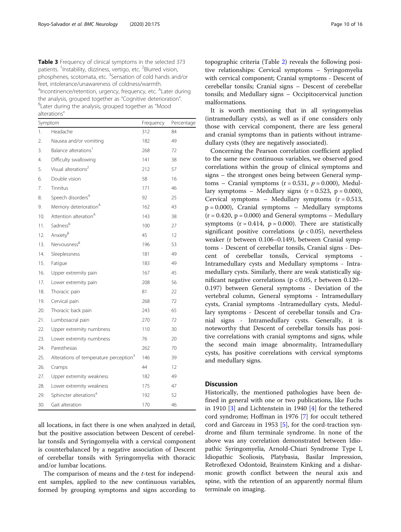| <b>Table 3</b> Frequency of clinical symptoms in the selected 373                         |
|-------------------------------------------------------------------------------------------|
| patients. <sup>1</sup> Instability, dizziness, vertigo, etc. <sup>2</sup> Blurred vision, |
| phosphenes, scotomata, etc. <sup>3</sup> Sensation of cold hands and/or                   |
| feet, intolerance/unawareness of coldness/warmth.                                         |
| <sup>4</sup> Incontinence/retention, urgency, frequency, etc. <sup>A</sup> Later during   |
| the analysis, grouped together as "Cognitive deterioration".                              |
| <sup>B</sup> Later during the analysis, grouped together as "Mood                         |
| alterations"                                                                              |

| Symptom |                                                    | Frequency | Percentage |
|---------|----------------------------------------------------|-----------|------------|
| 1.      | Headache                                           | 312       | 84         |
| 2.      | Nausea and/or vomiting                             | 182       | 49         |
| 3.      | Balance alterations <sup>1</sup>                   | 268       | 72         |
| 4.      | Difficulty swallowing                              | 141       | 38         |
| 5.      | Visual alterations <sup>2</sup>                    | 212       | 57         |
| 6.      | Double vision                                      | 58        | 16         |
| 7.      | Tinnitus                                           | 171       | 46         |
| 8.      | Speech disorders <sup>A</sup>                      | 92        | 25         |
| 9.      | Memory deterioration <sup>A</sup>                  | 162       | 43         |
| 10.     | Attention alteration <sup>A</sup>                  | 143       | 38         |
| 11.     | Sadness <sup>B</sup>                               | 100       | 27         |
| 12.     | Anxiety <sup>B</sup>                               | 45        | 12         |
| 13.     | Nervousness <sup>B</sup>                           | 196       | 53         |
| 14.     | Sleeplessness                                      | 181       | 49         |
| 15.     | Fatigue                                            | 183       | 49         |
| 16.     | Upper extremity pain                               | 167       | 45         |
| 17.     | Lower extremity pain                               | 208       | 56         |
| 18.     | Thoracic pain                                      | 81        | 22         |
| 19.     | Cervical pain                                      | 268       | 72         |
| 20.     | Thoracic back pain                                 | 243       | 65         |
| 21.     | Lumbosacral pain                                   | 270       | 72         |
| 22.     | Upper extremity numbness                           | 110       | 30         |
| 23.     | Lower extremity numbness                           | 76        | 20         |
| 24.     | Paresthesias                                       | 262       | 70         |
| 25.     | Alterations of temperature perception <sup>3</sup> | 146       | 39         |
| 26.     | Cramps                                             | 44        | 12         |
| 27.     | Upper extremity weakness                           | 182       | 49         |
| 28.     | Lower extremity weakness                           | 175       | 47         |
| 29.     | Sphincter alterations <sup>4</sup>                 | 192       | 52         |
| 30.     | Gait alteration                                    | 170       | 46         |

all locations, in fact there is one when analyzed in detail, but the positive association between Descent of cerebellar tonsils and Syringomyelia with a cervical component is counterbalanced by a negative association of Descent of cerebellar tonsils with Syringomyelia with thoracic and/or lumbar locations.

The comparison of means and the *t*-test for independent samples, applied to the new continuous variables, formed by grouping symptoms and signs according to

topographic criteria (Table 2) reveals the following positive relationships: Cervical symptoms – Syringomyelia with cervical component; Cranial symptoms - Descent of cerebellar tonsils; Cranial signs – Descent of cerebellar tonsils; and Medullary signs – Occipitocervical junction malformations.

It is worth mentioning that in all syringomyelias (intramedullary cysts), as well as if one considers only those with cervical component, there are less general and cranial symptoms than in patients without intramedullary cysts (they are negatively associated).

Concerning the Pearson correlation coefficient applied to the same new continuous variables, we observed good correlations within the group of clinical symptoms and signs – the strongest ones being between General symptoms – Cranial symptoms ( $r = 0.531$ ,  $p = 0.000$ ), Medullary symptoms – Medullary signs  $(r = 0.523, p = 0.000)$ , Cervical symptoms – Medullary symptoms  $(r = 0.513)$ ,  $p = 0.000$ ), Cranial symptoms – Medullary symptoms  $(r = 0.420, p = 0.000)$  and General symptoms – Medullary symptoms  $(r = 0.414, p = 0.000)$ . There are statistically significant positive correlations ( $p < 0.05$ ), nevertheless weaker (r between 0.106–0.149), between Cranial symptoms - Descent of cerebellar tonsils, Cranial signs - Descent of cerebellar tonsils, Cervical symptoms - Intramedullary cysts and Medullary symptoms - Intramedullary cysts. Similarly, there are weak statistically significant negative correlations (p < 0.05, r between 0.120– 0.197) between General symptoms - Deviation of the vertebral column, General symptoms - Intramedullary cysts, Cranial symptoms -Intramedullary cysts, Medullary symptoms - Descent of cerebellar tonsils and Cranial signs - Intramedullary cysts. Generally, it is noteworthy that Descent of cerebellar tonsils has positive correlations with cranial symptoms and signs, while the second main image abnormality, Intramedullary cysts, has positive correlations with cervical symptoms and medullary signs.

### Discussion

Historically, the mentioned pathologies have been defined in general with one or two publications, like Fuchs in 1910 [3] and Lichtenstein in 1940 [4] for the tethered cord syndrome; Hoffman in 1976 [7] for occult tethered cord and Garceau in 1953 [5], for the cord-traction syndrome and filum terminale syndrome. In none of the above was any correlation demonstrated between Idiopathic Syringomyelia, Arnold-Chiari Syndrome Type I, Idiopathic Scoliosis, Platybasia, Basilar Impression, Retroflexed Odontoid, Brainstem Kinking and a disharmonic growth conflict between the neural axis and spine, with the retention of an apparently normal filum terminale on imaging.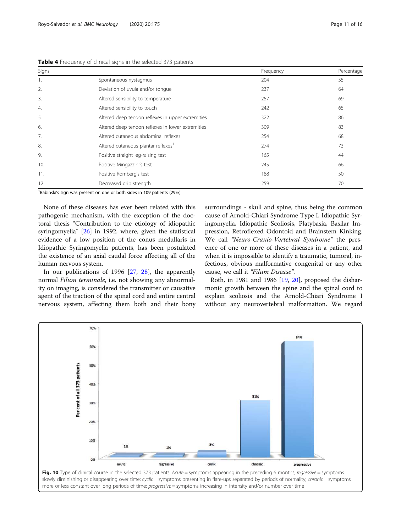| Signs            |                                                   | Frequency | Percentage |
|------------------|---------------------------------------------------|-----------|------------|
| -1.              | Spontaneous nystagmus                             | 204       | 55         |
| 2.               | Deviation of uvula and/or tonque                  | 237       | 64         |
| 3.               | Altered sensibility to temperature                | 257       | 69         |
| $\overline{4}$ . | Altered sensibility to touch                      | 242       | 65         |
| 5.               | Altered deep tendon reflexes in upper extremities | 322       | 86         |
| 6.               | Altered deep tendon reflexes in lower extremities | 309       | 83         |
| 7.               | Altered cutaneous abdominal reflexes              | 254       | 68         |
| 8.               | Altered cutaneous plantar reflexes                | 274       | 73         |
| 9.               | Positive straight leg-raising test                | 165       | 44         |
| 10.              | Positive Mingazzini's test                        | 245       | 66         |
| 11.              | Positive Romberg's test                           | 188       | 50         |
| 12.              | Decreased grip strength                           | 259       | 70         |

Table 4 Frequency of clinical signs in the selected 373 patients

<sup>1</sup>Babinski's sign was present on one or both sides in 109 patients (29%)

None of these diseases has ever been related with this pathogenic mechanism, with the exception of the doctoral thesis "Contribution to the etiology of idiopathic syringomyelia" [26] in 1992, where, given the statistical evidence of a low position of the conus medullaris in Idiopathic Syringomyelia patients, has been postulated the existence of an axial caudal force affecting all of the human nervous system.

In our publications of 1996 [27, 28], the apparently normal Filum terminale, i.e. not showing any abnormality on imaging, is considered the transmitter or causative agent of the traction of the spinal cord and entire central nervous system, affecting them both and their bony surroundings - skull and spine, thus being the common cause of Arnold-Chiari Syndrome Type I, Idiopathic Syringomyelia, Idiopathic Scoliosis, Platybasia, Basilar Impression, Retroflexed Odontoid and Brainstem Kinking. We call "Neuro-Cranio-Vertebral Syndrome" the presence of one or more of these diseases in a patient, and when it is impossible to identify a traumatic, tumoral, infectious, obvious malformative congenital or any other cause, we call it "Filum Disease".

Roth, in 1981 and 1986 [19, 20], proposed the disharmonic growth between the spine and the spinal cord to explain scoliosis and the Arnold-Chiari Syndrome I without any neurovertebral malformation. We regard

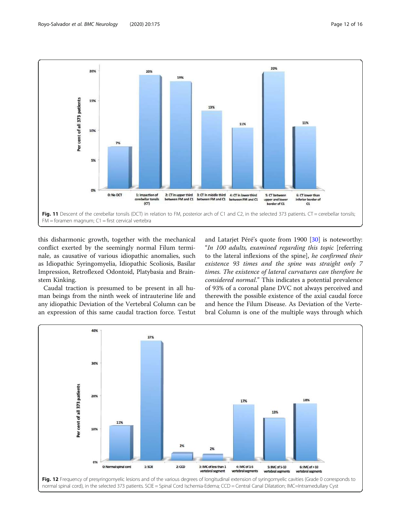

this disharmonic growth, together with the mechanical conflict exerted by the seemingly normal Filum terminale, as causative of various idiopathic anomalies, such as Idiopathic Syringomyelia, Idiopathic Scoliosis, Basilar Impression, Retroflexed Odontoid, Platybasia and Brainstem Kinking.

Caudal traction is presumed to be present in all human beings from the ninth week of intrauterine life and any idiopathic Deviation of the Vertebral Column can be an expression of this same caudal traction force. Testut and Latarjet Péré's quote from 1900 [30] is noteworthy: "In 100 adults, examined regarding this topic [referring to the lateral inflexions of the spine], he confirmed their existence 93 times and the spine was straight only 7 times. The existence of lateral curvatures can therefore be considered normal." This indicates a potential prevalence of 93% of a coronal plane DVC not always perceived and therewith the possible existence of the axial caudal force and hence the Filum Disease. As Deviation of the Vertebral Column is one of the multiple ways through which

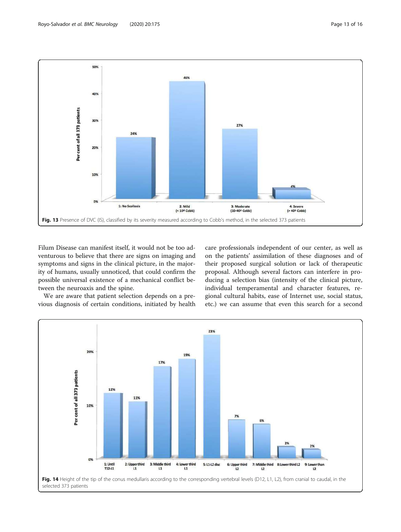

Filum Disease can manifest itself, it would not be too adventurous to believe that there are signs on imaging and symptoms and signs in the clinical picture, in the majority of humans, usually unnoticed, that could confirm the possible universal existence of a mechanical conflict between the neuroaxis and the spine.

We are aware that patient selection depends on a previous diagnosis of certain conditions, initiated by health care professionals independent of our center, as well as on the patients' assimilation of these diagnoses and of their proposed surgical solution or lack of therapeutic proposal. Although several factors can interfere in producing a selection bias (intensity of the clinical picture, individual temperamental and character features, regional cultural habits, ease of Internet use, social status, etc.) we can assume that even this search for a second

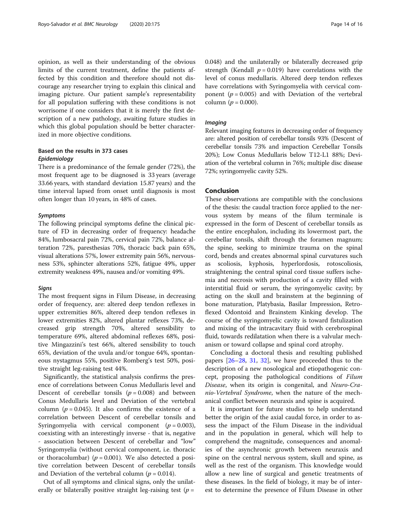opinion, as well as their understanding of the obvious limits of the current treatment, define the patients affected by this condition and therefore should not discourage any researcher trying to explain this clinical and imaging picture. Our patient sample's representability for all population suffering with these conditions is not worrisome if one considers that it is merely the first description of a new pathology, awaiting future studies in which this global population should be better characterized in more objective conditions.

## Based on the results in 373 cases Epidemiology

There is a predominance of the female gender (72%), the most frequent age to be diagnosed is 33 years (average 33.66 years, with standard deviation 15.87 years) and the time interval lapsed from onset until diagnosis is most often longer than 10 years, in 48% of cases.

#### Symptoms

The following principal symptoms define the clinical picture of FD in decreasing order of frequency: headache 84%, lumbosacral pain 72%, cervical pain 72%, balance alteration 72%, paresthesias 70%, thoracic back pain 65%, visual alterations 57%, lower extremity pain 56%, nervousness 53%, sphincter alterations 52%, fatigue 49%, upper extremity weakness 49%, nausea and/or vomiting 49%.

#### **Signs**

The most frequent signs in Filum Disease, in decreasing order of frequency, are: altered deep tendon reflexes in upper extremities 86%, altered deep tendon reflexes in lower extremities 82%, altered plantar reflexes 73%, decreased grip strength 70%, altered sensibility to temperature 69%, altered abdominal reflexes 68%, positive Mingazzini's test 66%, altered sensibility to touch 65%, deviation of the uvula and/or tongue 64%, spontaneous nystagmus 55%, positive Romberg's test 50%, positive straight leg-raising test 44%.

Significantly, the statistical analysis confirms the presence of correlations between Conus Medullaris level and Descent of cerebellar tonsils  $(p = 0.008)$  and between Conus Medullaris level and Deviation of the vertebral column ( $p = 0.045$ ). It also confirms the existence of a correlation between Descent of cerebellar tonsils and Syringomyelia with cervical component  $(p = 0.003)$ , coexisting with an interestingly inverse - that is, negative - association between Descent of cerebellar and "low" Syringomyelia (without cervical component, i.e. thoracic or thoracolumbar) ( $p = 0.001$ ). We also detected a positive correlation between Descent of cerebellar tonsils and Deviation of the vertebral column ( $p = 0.014$ ).

Out of all symptoms and clinical signs, only the unilaterally or bilaterally positive straight leg-raising test ( $p =$ 

0.048) and the unilaterally or bilaterally decreased grip strength (Kendall  $p = 0.019$ ) have correlations with the level of conus medullaris. Altered deep tendon reflexes have correlations with Syringomyelia with cervical component ( $p = 0.005$ ) and with Deviation of the vertebral column ( $p = 0.000$ ).

## Imaging

Relevant imaging features in decreasing order of frequency are: altered position of cerebellar tonsils 93% (Descent of cerebellar tonsils 73% and impaction Cerebellar Tonsils 20%); Low Conus Medullaris below T12-L1 88%; Deviation of the vertebral column in 76%; multiple disc disease 72%; syringomyelic cavity 52%.

## Conclusion

These observations are compatible with the conclusions of the thesis: the caudal traction force applied to the nervous system by means of the filum terminale is expressed in the form of Descent of cerebellar tonsils as the entire encephalon, including its lowermost part, the cerebellar tonsils, shift through the foramen magnum; the spine, seeking to minimize trauma on the spinal cord, bends and creates abnormal spinal curvatures such scoliosis, kyphosis, hyperlordosis, rotoscoliosis, straightening; the central spinal cord tissue suffers ischemia and necrosis with production of a cavity filled with interstitial fluid or serum, the syringomyelic cavity; by acting on the skull and brainstem at the beginning of bone maturation, Platybasia, Basilar Impression, Retroflexed Odontoid and Brainstem Kinking develop. The course of the syringomyelic cavity is toward fistulization and mixing of the intracavitary fluid with cerebrospinal fluid, towards redilatation when there is a valvular mechanism or toward collapse and spinal cord atrophy.

Concluding a doctoral thesis and resulting published papers [26–28, 31, 32], we have proceeded thus to the description of a new nosological and etiopathogenic concept, proposing the pathological conditions of Filum Disease, when its origin is congenital, and Neuro-Cranio-Vertebral Syndrome, when the nature of the mechanical conflict between neuraxis and spine is acquired.

It is important for future studies to help understand better the origin of the axial caudal force, in order to assess the impact of the Filum Disease in the individual and in the population in general, which will help to comprehend the magnitude, consequences and anomalies of the asynchronic growth between neuraxis and spine on the central nervous system, skull and spine, as well as the rest of the organism. This knowledge would allow a new line of surgical and genetic treatments of these diseases. In the field of biology, it may be of interest to determine the presence of Filum Disease in other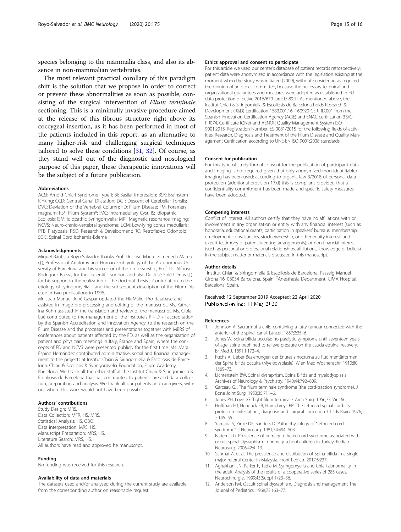species belonging to the mammalia class, and also its absence in non-mammalian vertebrates.

The most relevant practical corollary of this paradigm shift is the solution that we propose in order to correct or prevent these abnormalities as soon as possible, consisting of the surgical intervention of Filum terminale sectioning. This is a minimally invasive procedure aimed at the release of this fibrous structure right above its coccygeal insertion, as it has been performed in most of the patients included in this report, as an alternative to many higher-risk and challenging surgical techniques tailored to solve these conditions [31, 32]. Of course, as they stand well out of the diagnostic and nosological purpose of this paper, these therapeutic innovations will be the subject of a future publication.

#### Abbreviations

ACSI: Arnold-Chiari Syndrome Type I; BI: Basilar Impression; BSK: Brainstem Kinking; CCD: Central Canal Dilatation; DCT: Descent of Cerebellar Tonsils; DVC: Deviation of the Vertebral Column; FD: Filum Disease; FM: Foramen magnum; FS®: Filum System®; IMC: Intramedullary Cyst; IS: Idiopathic Scoliosis; ISM: Idiopathic Syringomyelia; MRI: Magnetic resonance imaging; NCVS: Neuro-cranio-vertebral syndrome; LCM: Low-lying conus medullaris; PTB: Platybasia; R&D: Research & Development; RO: Retroflexed Odontoid; SCIE: Spinal Cord Ischemia-Edema

#### Acknowledgements

Miguel Bautista Royo-Salvador thanks Prof. Dr. Jose Maria Domenech Mateu (†), Professor of Anatomy and Human Embryology of the Autonomous University of Barcelona and his successor of the professorship, Prof. Dr. Alfonso Rodriguez Baeza, for their scientific support and also Dr. José Solé Llenas (†) for his support in the realization of the doctoral thesis - Contribution to the etiology of syringomyelia – and the subsequent description of the Filum Disease in two publications in 1996.

Mr. Juan Manuel Jené Gaspar updated the FileMaker Pro database and assisted in image pre-processing and editing of the manuscript. Ms. Katharina Kühn assisted in the translation and review of the manuscript. Ms. Gioia Luè contributed to the management of the institute's  $R + D + i$  accreditation by the Spanish Accreditation and Innovation Agency, to the research on the Filum Disease and the processes and presentations together with MBRS of conferences about patients affected by the FD, as well as the organization of patient and physician meetings in Italy, France and Spain, where the concepts of FD and NCVS were presented publicly for the first time. Ms. Mara Espino Hernández contributed administrative, social and financial management to the projects at Institut Chiari & Siringomielia & Escoliosis de Barcelona, Chiari & Scoliosis & Syringomyelia Foundation, Filum Academy Barcelona. We thank all the other staff at the Institut Chiari & Siringomielia & Escoliosis de Barcelona that has contributed to patient care and data collection, preparation and analysis. We thank all our patients and caregivers, without whom this work would not have been possible.

### Authors' contributions

Study Design: MRS Data Collection: MFR, HS, MRS. Statistical Analysis: HS, GBO. Data interpretation: MRS, HS. Manuscript Preparation: MRS, HS. Literature Search: MRS, HS. All authors have read and approved he manuscript.

#### Funding

No funding was received for this research.

#### Availability of data and materials

The datasets used and/or analysed during the current study are available from the corresponding author on reasonable request.

#### Ethics approval and consent to participate

For this article we used our center's database of patient records retrospectively; patient data were anonymized in accordance with the legislation existing at the moment when the study was initiated (2009), without considering as required the opinion of an ethics committee, because the necessary technical and organizational guarantees and measures were adopted as established in EU data protection directive 2016/679 (article 89.1). As mentioned above, the Institut Chiari & Siringomielia & Escoliosis de Barcelona holds Research & Development (R&D) certification 1583.001.16–160920-CER-RD.001 from the Spanish Innovation Certification Agency (ACIE) and ENAC certification 33/C-PR074, Certificate IQNet and AENOR Quality Management System ISO 9001:2015, Registration Number: ES-0081/2015 for the following fields of activities: Research, Diagnosis and Treatment of the Filum Disease and Quality Management Certification according to UNE-EN ISO 9001:2008 standards.

#### Consent for publication

For this type of study formal consent for the publication of participant data and imaging is not required given that only anonymized (non-identifiable) imaging has been used; according to organic law 3/2018 of personal data protection (additional provision 17.d) this is compliant provided that a confidentiality commitment has been made and specific safety measures have been adopted.

#### Competing interests

Conflict of Interest: All authors certify that they have no affiliations with or involvement in any organization or entity with any financial interest (such as honoraria; educational grants; participation in speakers' bureaus; membership, employment, consultancies, stock ownership, or other equity interest; and expert testimony or patent-licensing arrangements), or non-financial interest (such as personal or professional relationships, affiliations, knowledge or beliefs) in the subject matter or materials discussed in this manuscript.

#### Author details

<sup>1</sup>Institut Chiari & Siringomielia & Escoliosis de Barcelona, Passeig Manuel Girona 16, 08034 Barcelona, Spain. <sup>2</sup>Anesthesia Department, CIMA Hospital Barcelona, Spain.

#### Received: 12 September 2019 Accepted: 22 April 2020 Published online: 11 May 2020

#### References

- 1. Johnson A. Sacrum of a child containing a fatty tumour connected with the anterior of the spinal canal. Lancet. 1857;2:35–6.
- 2. Jones W. Spina bifida occulta: no paralytic symptoms until seventeen years of age: spine trephined to relieve pressure on the cauda equina: recovery. Br Med J. 1891;1:173–4.
- 3. Fuchs A. Ueber Beziehungen der Enuresis nocturna zu Rudimentärformen der Spina bifida occulta (Myelodysplasie). Wien Med Wochenschr. 1910;80: 1569–73.
- 4. Lichtenstein BW. Spinal dysraphism. Spina Bifida and myelodysplasia Archives of Neurology & Psychiatry. 1940;44:792–809.
- 5. Garceau GJ. The filum terminale syndrome (the cord-traction syndrome). J Bone Joint Surg. 1953;35:711–6.
- 6. Jones PH, Love JG. Tight filum terminale. Arch Surg. 1956;73:556–66.
- 7. Hoffman HJ, Hendrick EB, Humphreys RP. The tethered spinal cord: its protean manifestations, diagnosis and surgical correction. Childs Brain. 1976; 2:145–55.
- 8. Yamada S, Zinke DE, Sanders D. Pathophysiology of "tethered cord syndrome". J Neurosurg. 1981;54:494–503.
- Bademci G. Prevalence of primary tethered cord syndrome associated with occult spinal Dysraphism in primary school children in Turkey. Pediatr Neurosurg. 2006;42:4–13.
- 10. Sahmat A, et al. The prevalence and distribution of Spina bifida in a single major referral Center in Malaysia. Front Pediatr. 2017;5:237.
- 11. Aghakhani JN, Parker F, Tadie M. Syringomyelia and Chiari abnormality in the adult. Analysis of the results of a cooperative series of 285 cases. Neurochirurgie. 1999;45(Suppl 1):23–36.
- 12. Anderson FM. Occult spinal dysraphism. Diagnosis and management The Journal of Pediatrics. 1968;73:163–77.